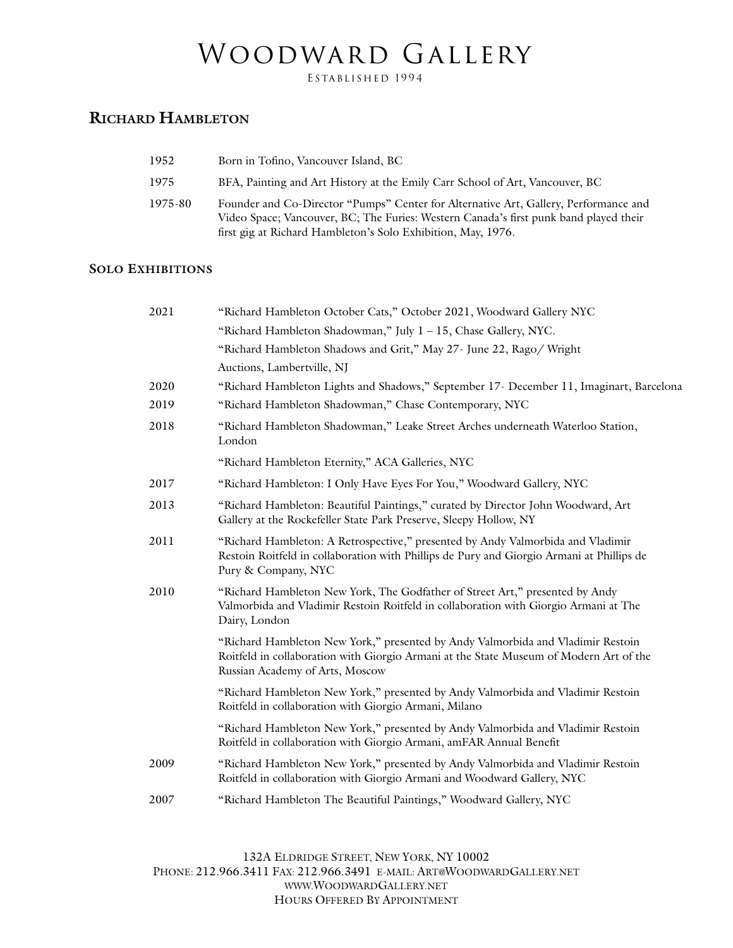## WOODWARD GALLERY

ESTABLISHED 1994

## **RICHARD HAMBLETON**

| 1952    | Born in Tofino, Vancouver Island, BC                                                                                                                                                                                                          |
|---------|-----------------------------------------------------------------------------------------------------------------------------------------------------------------------------------------------------------------------------------------------|
| 1975    | BFA, Painting and Art History at the Emily Carr School of Art, Vancouver, BC                                                                                                                                                                  |
| 1975-80 | Founder and Co-Director "Pumps" Center for Alternative Art, Gallery, Performance and<br>Video Space; Vancouver, BC; The Furies: Western Canada's first punk band played their<br>first gig at Richard Hambleton's Solo Exhibition, May, 1976. |

## **SOLO EXHIBITIONS**

| 2021 | "Richard Hambleton October Cats," October 2021, Woodward Gallery NYC                                                                                                                                         |
|------|--------------------------------------------------------------------------------------------------------------------------------------------------------------------------------------------------------------|
|      | "Richard Hambleton Shadowman," July 1 - 15, Chase Gallery, NYC.                                                                                                                                              |
|      | "Richard Hambleton Shadows and Grit," May 27- June 22, Rago/ Wright                                                                                                                                          |
|      | Auctions, Lambertville, NJ                                                                                                                                                                                   |
| 2020 | "Richard Hambleton Lights and Shadows," September 17- December 11, Imaginart, Barcelona                                                                                                                      |
| 2019 | "Richard Hambleton Shadowman," Chase Contemporary, NYC                                                                                                                                                       |
| 2018 | "Richard Hambleton Shadowman," Leake Street Arches underneath Waterloo Station,<br>London                                                                                                                    |
|      | "Richard Hambleton Eternity," ACA Galleries, NYC                                                                                                                                                             |
| 2017 | "Richard Hambleton: I Only Have Eyes For You," Woodward Gallery, NYC                                                                                                                                         |
| 2013 | "Richard Hambleton: Beautiful Paintings," curated by Director John Woodward, Art<br>Gallery at the Rockefeller State Park Preserve, Sleepy Hollow, NY                                                        |
| 2011 | "Richard Hambleton: A Retrospective," presented by Andy Valmorbida and Vladimir<br>Restoin Roitfeld in collaboration with Phillips de Pury and Giorgio Armani at Phillips de<br>Pury & Company, NYC          |
| 2010 | "Richard Hambleton New York, The Godfather of Street Art," presented by Andy<br>Valmorbida and Vladimir Restoin Roitfeld in collaboration with Giorgio Armani at The<br>Dairy, London                        |
|      | "Richard Hambleton New York," presented by Andy Valmorbida and Vladimir Restoin<br>Roitfeld in collaboration with Giorgio Armani at the State Museum of Modern Art of the<br>Russian Academy of Arts, Moscow |
|      | "Richard Hambleton New York," presented by Andy Valmorbida and Vladimir Restoin<br>Roitfeld in collaboration with Giorgio Armani, Milano                                                                     |
|      | "Richard Hambleton New York," presented by Andy Valmorbida and Vladimir Restoin<br>Roitfeld in collaboration with Giorgio Armani, amFAR Annual Benefit                                                       |
| 2009 | "Richard Hambleton New York," presented by Andy Valmorbida and Vladimir Restoin<br>Roitfeld in collaboration with Giorgio Armani and Woodward Gallery, NYC                                                   |
| 2007 | "Richard Hambleton The Beautiful Paintings," Woodward Gallery, NYC                                                                                                                                           |
|      |                                                                                                                                                                                                              |

132A ELDRIDGE STREET, NEW YORK, NY 10002 PHONE: 212.966.3411 FAX: 212.966.3491 E-MAIL: ART@WOODWARDGALLERY.NET WWW.WOODWARDGALLERY.NET HOURS OFFERED BY APPOINTMENT